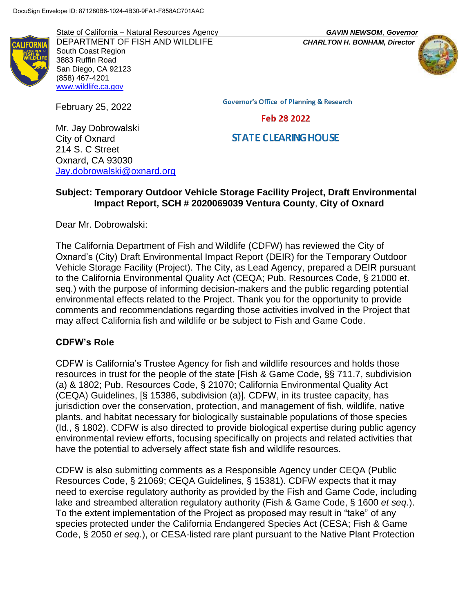State of California – Natural Resources Agency *GAVIN NEWSOM*, *Governor* DEPARTMENT OF FISH AND WILDLIFE *CHARLTON H. BONHAM, Director* South Coast Region 3883 Ruffin Road San Diego, CA 92123 (858) 467-4201 [www.wildlife.ca.gov](http://www.wildlife.ca.gov/)

February 25, 2022

**Governor's Office of Planning & Research** 

#### Feb 28 2022

### **STATE CLEARING HOUSE**

Mr. Jay Dobrowalski City of Oxnard 214 S. C Street Oxnard, CA 93030 [Jay.dobrowalski@oxnard.org](mailto:Jay.dobrowalski@oxnard.org)

### **Subject: Temporary Outdoor Vehicle Storage Facility Project, Draft Environmental Impact Report, SCH # 2020069039 Ventura County**, **City of Oxnard**

Dear Mr. Dobrowalski:

The California Department of Fish and Wildlife (CDFW) has reviewed the City of Oxnard's (City) Draft Environmental Impact Report (DEIR) for the Temporary Outdoor Vehicle Storage Facility (Project). The City, as Lead Agency, prepared a DEIR pursuant to the California Environmental Quality Act (CEQA; Pub. Resources Code, § 21000 et. seq.) with the purpose of informing decision-makers and the public regarding potential environmental effects related to the Project. Thank you for the opportunity to provide comments and recommendations regarding those activities involved in the Project that may affect California fish and wildlife or be subject to Fish and Game Code.

#### **CDFW's Role**

CDFW is California's Trustee Agency for fish and wildlife resources and holds those resources in trust for the people of the state [Fish & Game Code, §§ 711.7, subdivision (a) & 1802; Pub. Resources Code, § 21070; California Environmental Quality Act (CEQA) Guidelines, [§ 15386, subdivision (a)]. CDFW, in its trustee capacity, has jurisdiction over the conservation, protection, and management of fish, wildlife, native plants, and habitat necessary for biologically sustainable populations of those species (Id., § 1802). CDFW is also directed to provide biological expertise during public agency environmental review efforts, focusing specifically on projects and related activities that have the potential to adversely affect state fish and wildlife resources.

CDFW is also submitting comments as a Responsible Agency under CEQA (Public Resources Code, § 21069; CEQA Guidelines, § 15381). CDFW expects that it may need to exercise regulatory authority as provided by the Fish and Game Code, including lake and streambed alteration regulatory authority (Fish & Game Code, § 1600 *et seq*.). To the extent implementation of the Project as proposed may result in "take" of any species protected under the California Endangered Species Act (CESA; Fish & Game Code, § 2050 *et seq.*), or CESA-listed rare plant pursuant to the Native Plant Protection

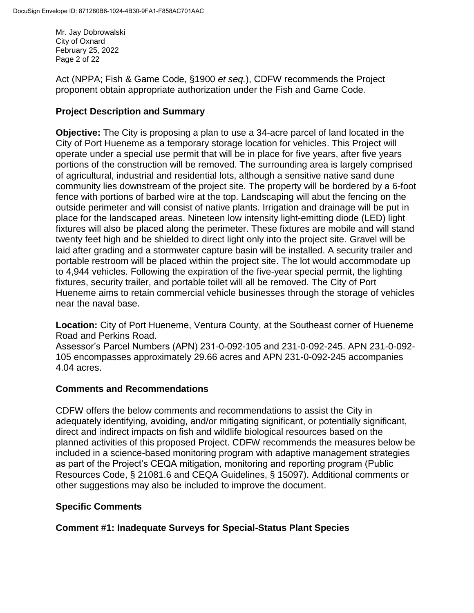Mr. Jay Dobrowalski City of Oxnard February 25, 2022 Page 2 of 22

Act (NPPA; Fish & Game Code, §1900 *et seq.*), CDFW recommends the Project proponent obtain appropriate authorization under the Fish and Game Code.

### **Project Description and Summary**

**Objective:** The City is proposing a plan to use a 34-acre parcel of land located in the City of Port Hueneme as a temporary storage location for vehicles. This Project will operate under a special use permit that will be in place for five years, after five years portions of the construction will be removed. The surrounding area is largely comprised of agricultural, industrial and residential lots, although a sensitive native sand dune community lies downstream of the project site. The property will be bordered by a 6-foot fence with portions of barbed wire at the top. Landscaping will abut the fencing on the outside perimeter and will consist of native plants. Irrigation and drainage will be put in place for the landscaped areas. Nineteen low intensity light-emitting diode (LED) light fixtures will also be placed along the perimeter. These fixtures are mobile and will stand twenty feet high and be shielded to direct light only into the project site. Gravel will be laid after grading and a stormwater capture basin will be installed. A security trailer and portable restroom will be placed within the project site. The lot would accommodate up to 4,944 vehicles. Following the expiration of the five-year special permit, the lighting fixtures, security trailer, and portable toilet will all be removed. The City of Port Hueneme aims to retain commercial vehicle businesses through the storage of vehicles near the naval base.

**Location:** City of Port Hueneme, Ventura County, at the Southeast corner of Hueneme Road and Perkins Road.

Assessor's Parcel Numbers (APN) 231-0-092-105 and 231-0-092-245. APN 231-0-092- 105 encompasses approximately 29.66 acres and APN 231-0-092-245 accompanies 4.04 acres.

### **Comments and Recommendations**

CDFW offers the below comments and recommendations to assist the City in adequately identifying, avoiding, and/or mitigating significant, or potentially significant, direct and indirect impacts on fish and wildlife biological resources based on the planned activities of this proposed Project. CDFW recommends the measures below be included in a science-based monitoring program with adaptive management strategies as part of the Project's CEQA mitigation, monitoring and reporting program (Public Resources Code, § 21081.6 and CEQA Guidelines, § 15097). Additional comments or other suggestions may also be included to improve the document.

### **Specific Comments**

**Comment #1: Inadequate Surveys for Special-Status Plant Species**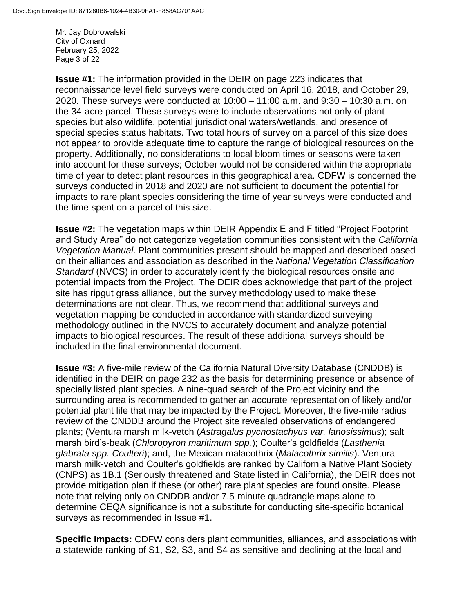Mr. Jay Dobrowalski City of Oxnard February 25, 2022 Page 3 of 22

**Issue #1:** The information provided in the DEIR on page 223 indicates that reconnaissance level field surveys were conducted on April 16, 2018, and October 29, 2020. These surveys were conducted at 10:00 – 11:00 a.m. and 9:30 – 10:30 a.m. on the 34-acre parcel. These surveys were to include observations not only of plant species but also wildlife, potential jurisdictional waters/wetlands, and presence of special species status habitats. Two total hours of survey on a parcel of this size does not appear to provide adequate time to capture the range of biological resources on the property. Additionally, no considerations to local bloom times or seasons were taken into account for these surveys; October would not be considered within the appropriate time of year to detect plant resources in this geographical area. CDFW is concerned the surveys conducted in 2018 and 2020 are not sufficient to document the potential for impacts to rare plant species considering the time of year surveys were conducted and the time spent on a parcel of this size.

**Issue #2:** The vegetation maps within DEIR Appendix E and F titled "Project Footprint and Study Area" do not categorize vegetation communities consistent with the *California Vegetation Manual*. Plant communities present should be mapped and described based on their alliances and association as described in the *National Vegetation Classification Standard* (NVCS) in order to accurately identify the biological resources onsite and potential impacts from the Project. The DEIR does acknowledge that part of the project site has ripgut grass alliance, but the survey methodology used to make these determinations are not clear. Thus, we recommend that additional surveys and vegetation mapping be conducted in accordance with standardized surveying methodology outlined in the NVCS to accurately document and analyze potential impacts to biological resources. The result of these additional surveys should be included in the final environmental document.

**Issue #3:** A five-mile review of the California Natural Diversity Database (CNDDB) is identified in the DEIR on page 232 as the basis for determining presence or absence of specially listed plant species. A nine-quad search of the Project vicinity and the surrounding area is recommended to gather an accurate representation of likely and/or potential plant life that may be impacted by the Project. Moreover, the five-mile radius review of the CNDDB around the Project site revealed observations of endangered plants; (Ventura marsh milk-vetch (*Astragalus pycnostachyus var. lanosissimus*); salt marsh bird's-beak (*Chloropyron maritimum spp.*); Coulter's goldfields (*Lasthenia glabrata spp. Coulteri*); and, the Mexican malacothrix (*Malacothrix similis*). Ventura marsh milk-vetch and Coulter's goldfields are ranked by California Native Plant Society (CNPS) as 1B.1 (Seriously threatened and State listed in California), the DEIR does not provide mitigation plan if these (or other) rare plant species are found onsite. Please note that relying only on CNDDB and/or 7.5-minute quadrangle maps alone to determine CEQA significance is not a substitute for conducting site-specific botanical surveys as recommended in Issue #1.

**Specific Impacts:** CDFW considers plant communities, alliances, and associations with a statewide ranking of S1, S2, S3, and S4 as sensitive and declining at the local and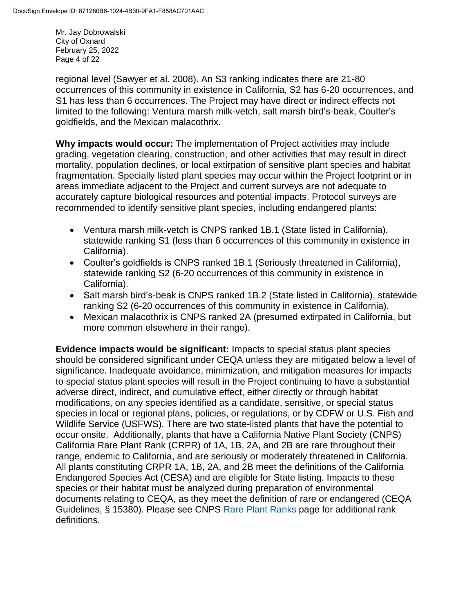Mr. Jay Dobrowalski City of Oxnard February 25, 2022 Page 4 of 22

regional level (Sawyer et al. 2008). An S3 ranking indicates there are 21-80 occurrences of this community in existence in California, S2 has 6-20 occurrences, and S1 has less than 6 occurrences. The Project may have direct or indirect effects not limited to the following: Ventura marsh milk-vetch, salt marsh bird's-beak, Coulter's goldfields, and the Mexican malacothrix.

**Why impacts would occur:** The implementation of Project activities may include grading, vegetation clearing, construction, and other activities that may result in direct mortality, population declines, or local extirpation of sensitive plant species and habitat fragmentation. Specially listed plant species may occur within the Project footprint or in areas immediate adjacent to the Project and current surveys are not adequate to accurately capture biological resources and potential impacts. Protocol surveys are recommended to identify sensitive plant species, including endangered plants:

- Ventura marsh milk-vetch is CNPS ranked 1B.1 (State listed in California), statewide ranking S1 (less than 6 occurrences of this community in existence in California).
- Coulter's goldfields is CNPS ranked 1B.1 (Seriously threatened in California), statewide ranking S2 (6-20 occurrences of this community in existence in California).
- Salt marsh bird's-beak is CNPS ranked 1B.2 (State listed in California), statewide ranking S2 (6-20 occurrences of this community in existence in California).
- Mexican malacothrix is CNPS ranked 2A (presumed extirpated in California, but more common elsewhere in their range).

**Evidence impacts would be significant:** Impacts to special status plant species should be considered significant under CEQA unless they are mitigated below a level of significance. Inadequate avoidance, minimization, and mitigation measures for impacts to special status plant species will result in the Project continuing to have a substantial adverse direct, indirect, and cumulative effect, either directly or through habitat modifications, on any species identified as a candidate, sensitive, or special status species in local or regional plans, policies, or regulations, or by CDFW or U.S. Fish and Wildlife Service (USFWS). There are two state-listed plants that have the potential to occur onsite. Additionally, plants that have a California Native Plant Society (CNPS) California Rare Plant Rank (CRPR) of 1A, 1B, 2A, and 2B are rare throughout their range, endemic to California, and are seriously or moderately threatened in California. All plants constituting CRPR 1A, 1B, 2A, and 2B meet the definitions of the California Endangered Species Act (CESA) and are eligible for State listing. Impacts to these species or their habitat must be analyzed during preparation of environmental documents relating to CEQA, as they meet the definition of rare or endangered (CEQA Guidelines, § 15380). Please see CNPS [Rare Plant Ranks](https://www.cnps.org/rare-plants/cnps-rare-plant-ranks) page for additional rank definitions.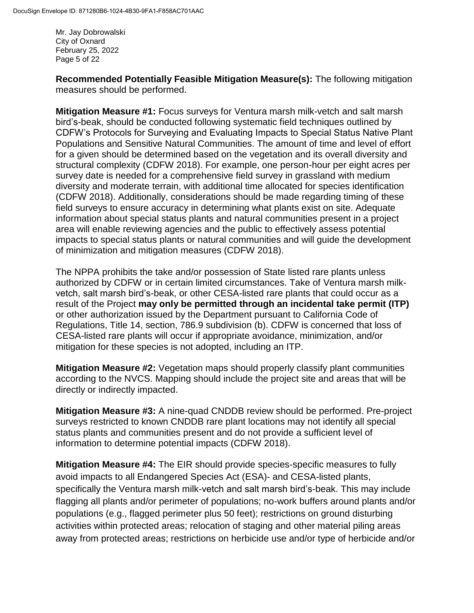Mr. Jay Dobrowalski City of Oxnard February 25, 2022 Page 5 of 22

**Recommended Potentially Feasible Mitigation Measure(s):** The following mitigation measures should be performed.

**Mitigation Measure #1:** Focus surveys for Ventura marsh milk-vetch and salt marsh bird's-beak, should be conducted following systematic field techniques outlined by CDFW's Protocols for Surveying and Evaluating Impacts to Special Status Native Plant Populations and Sensitive Natural Communities. The amount of time and level of effort for a given should be determined based on the vegetation and its overall diversity and structural complexity (CDFW 2018). For example, one person-hour per eight acres per survey date is needed for a comprehensive field survey in grassland with medium diversity and moderate terrain, with additional time allocated for species identification (CDFW 2018). Additionally, considerations should be made regarding timing of these field surveys to ensure accuracy in determining what plants exist on site. Adequate information about special status plants and natural communities present in a project area will enable reviewing agencies and the public to effectively assess potential impacts to special status plants or natural communities and will guide the development of minimization and mitigation measures (CDFW 2018).

The NPPA prohibits the take and/or possession of State listed rare plants unless authorized by CDFW or in certain limited circumstances. Take of Ventura marsh milkvetch, salt marsh bird's-beak, or other CESA-listed rare plants that could occur as a result of the Project **may only be permitted through an incidental take permit (ITP)** or other authorization issued by the Department pursuant to California Code of Regulations, Title 14, section, 786.9 subdivision (b). CDFW is concerned that loss of CESA-listed rare plants will occur if appropriate avoidance, minimization, and/or mitigation for these species is not adopted, including an ITP.

**Mitigation Measure #2:** Vegetation maps should properly classify plant communities according to the NVCS. Mapping should include the project site and areas that will be directly or indirectly impacted.

**Mitigation Measure #3:** A nine-quad CNDDB review should be performed. Pre-project surveys restricted to known CNDDB rare plant locations may not identify all special status plants and communities present and do not provide a sufficient level of information to determine potential impacts (CDFW 2018).

**Mitigation Measure #4:** The EIR should provide species-specific measures to fully avoid impacts to all Endangered Species Act (ESA)- and CESA-listed plants, specifically the Ventura marsh milk-vetch and salt marsh bird's-beak. This may include flagging all plants and/or perimeter of populations; no-work buffers around plants and/or populations (e.g., flagged perimeter plus 50 feet); restrictions on ground disturbing activities within protected areas; relocation of staging and other material piling areas away from protected areas; restrictions on herbicide use and/or type of herbicide and/or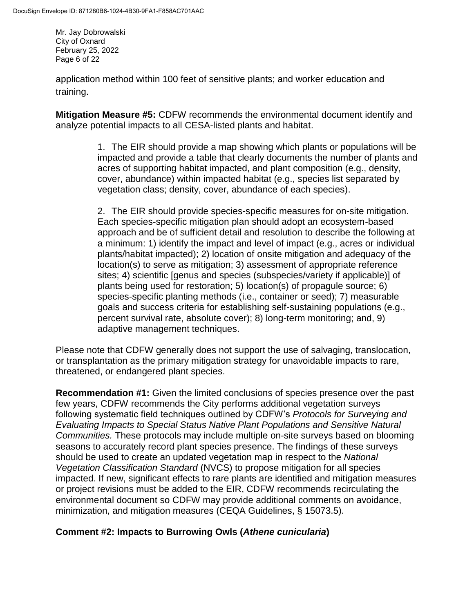Mr. Jay Dobrowalski City of Oxnard February 25, 2022 Page 6 of 22

application method within 100 feet of sensitive plants; and worker education and training.

**Mitigation Measure #5:** CDFW recommends the environmental document identify and analyze potential impacts to all CESA-listed plants and habitat.

> 1. The EIR should provide a map showing which plants or populations will be impacted and provide a table that clearly documents the number of plants and acres of supporting habitat impacted, and plant composition (e.g., density, cover, abundance) within impacted habitat (e.g., species list separated by vegetation class; density, cover, abundance of each species).

2. The EIR should provide species-specific measures for on-site mitigation. Each species-specific mitigation plan should adopt an ecosystem-based approach and be of sufficient detail and resolution to describe the following at a minimum: 1) identify the impact and level of impact (e.g., acres or individual plants/habitat impacted); 2) location of onsite mitigation and adequacy of the location(s) to serve as mitigation; 3) assessment of appropriate reference sites; 4) scientific [genus and species (subspecies/variety if applicable)] of plants being used for restoration; 5) location(s) of propagule source; 6) species-specific planting methods (i.e., container or seed); 7) measurable goals and success criteria for establishing self-sustaining populations (e.g., percent survival rate, absolute cover); 8) long-term monitoring; and, 9) adaptive management techniques.

Please note that CDFW generally does not support the use of salvaging, translocation, or transplantation as the primary mitigation strategy for unavoidable impacts to rare, threatened, or endangered plant species.

**Recommendation #1:** Given the limited conclusions of species presence over the past few years, CDFW recommends the City performs additional vegetation surveys following systematic field techniques outlined by CDFW's *Protocols for Surveying and Evaluating Impacts to Special Status Native Plant Populations and Sensitive Natural Communities.* These protocols may include multiple on-site surveys based on blooming seasons to accurately record plant species presence. The findings of these surveys should be used to create an updated vegetation map in respect to the *National Vegetation Classification Standard* (NVCS) to propose mitigation for all species impacted. If new, significant effects to rare plants are identified and mitigation measures or project revisions must be added to the EIR, CDFW recommends recirculating the environmental document so CDFW may provide additional comments on avoidance, minimization, and mitigation measures (CEQA Guidelines, § 15073.5).

# **Comment #2: Impacts to Burrowing Owls (***Athene cunicularia***)**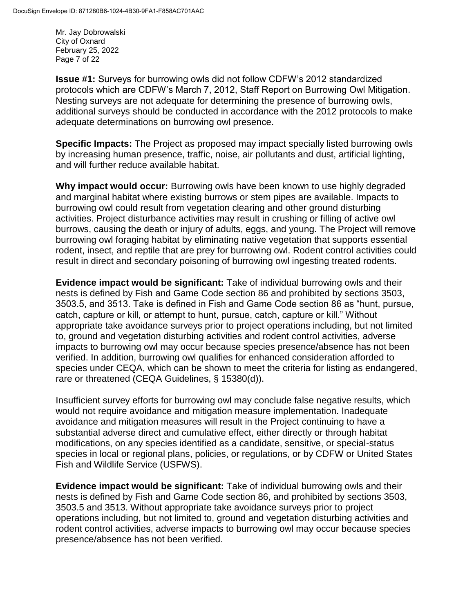Mr. Jay Dobrowalski City of Oxnard February 25, 2022 Page 7 of 22

**Issue #1:** Surveys for burrowing owls did not follow CDFW's 2012 standardized protocols which are CDFW's March 7, 2012, Staff Report on Burrowing Owl Mitigation. Nesting surveys are not adequate for determining the presence of burrowing owls, additional surveys should be conducted in accordance with the 2012 protocols to make adequate determinations on burrowing owl presence.

**Specific Impacts:** The Project as proposed may impact specially listed burrowing owls by increasing human presence, traffic, noise, air pollutants and dust, artificial lighting, and will further reduce available habitat.

**Why impact would occur:** Burrowing owls have been known to use highly degraded and marginal habitat where existing burrows or stem pipes are available. Impacts to burrowing owl could result from vegetation clearing and other ground disturbing activities. Project disturbance activities may result in crushing or filling of active owl burrows, causing the death or injury of adults, eggs, and young. The Project will remove burrowing owl foraging habitat by eliminating native vegetation that supports essential rodent, insect, and reptile that are prey for burrowing owl. Rodent control activities could result in direct and secondary poisoning of burrowing owl ingesting treated rodents.

**Evidence impact would be significant:** Take of individual burrowing owls and their nests is defined by Fish and Game Code section 86 and prohibited by sections 3503, 3503.5, and 3513. Take is defined in Fish and Game Code section 86 as "hunt, pursue, catch, capture or kill, or attempt to hunt, pursue, catch, capture or kill." Without appropriate take avoidance surveys prior to project operations including, but not limited to, ground and vegetation disturbing activities and rodent control activities, adverse impacts to burrowing owl may occur because species presence/absence has not been verified. In addition, burrowing owl qualifies for enhanced consideration afforded to species under CEQA, which can be shown to meet the criteria for listing as endangered, rare or threatened (CEQA Guidelines, § 15380(d)).

Insufficient survey efforts for burrowing owl may conclude false negative results, which would not require avoidance and mitigation measure implementation. Inadequate avoidance and mitigation measures will result in the Project continuing to have a substantial adverse direct and cumulative effect, either directly or through habitat modifications, on any species identified as a candidate, sensitive, or special-status species in local or regional plans, policies, or regulations, or by CDFW or United States Fish and Wildlife Service (USFWS).

**Evidence impact would be significant:** Take of individual burrowing owls and their nests is defined by Fish and Game Code section 86, and prohibited by sections 3503, 3503.5 and 3513. Without appropriate take avoidance surveys prior to project operations including, but not limited to, ground and vegetation disturbing activities and rodent control activities, adverse impacts to burrowing owl may occur because species presence/absence has not been verified.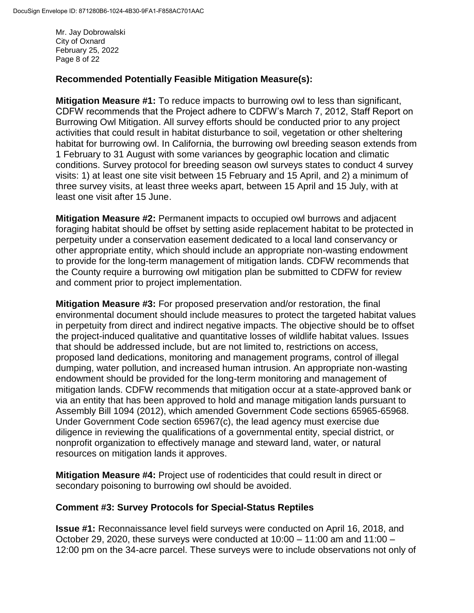Mr. Jay Dobrowalski City of Oxnard February 25, 2022 Page 8 of 22

### **Recommended Potentially Feasible Mitigation Measure(s):**

**Mitigation Measure #1:** To reduce impacts to burrowing owl to less than significant, CDFW recommends that the Project adhere to CDFW's March 7, 2012, Staff Report on Burrowing Owl Mitigation. All survey efforts should be conducted prior to any project activities that could result in habitat disturbance to soil, vegetation or other sheltering habitat for burrowing owl. In California, the burrowing owl breeding season extends from 1 February to 31 August with some variances by geographic location and climatic conditions. Survey protocol for breeding season owl surveys states to conduct 4 survey visits: 1) at least one site visit between 15 February and 15 April, and 2) a minimum of three survey visits, at least three weeks apart, between 15 April and 15 July, with at least one visit after 15 June.

**Mitigation Measure #2:** Permanent impacts to occupied owl burrows and adjacent foraging habitat should be offset by setting aside replacement habitat to be protected in perpetuity under a conservation easement dedicated to a local land conservancy or other appropriate entity, which should include an appropriate non-wasting endowment to provide for the long-term management of mitigation lands. CDFW recommends that the County require a burrowing owl mitigation plan be submitted to CDFW for review and comment prior to project implementation.

**Mitigation Measure #3:** For proposed preservation and/or restoration, the final environmental document should include measures to protect the targeted habitat values in perpetuity from direct and indirect negative impacts. The objective should be to offset the project-induced qualitative and quantitative losses of wildlife habitat values. Issues that should be addressed include, but are not limited to, restrictions on access, proposed land dedications, monitoring and management programs, control of illegal dumping, water pollution, and increased human intrusion. An appropriate non-wasting endowment should be provided for the long-term monitoring and management of mitigation lands. CDFW recommends that mitigation occur at a state-approved bank or via an entity that has been approved to hold and manage mitigation lands pursuant to Assembly Bill 1094 (2012), which amended Government Code sections 65965-65968. Under Government Code section 65967(c), the lead agency must exercise due diligence in reviewing the qualifications of a governmental entity, special district, or nonprofit organization to effectively manage and steward land, water, or natural resources on mitigation lands it approves.

**Mitigation Measure #4:** Project use of rodenticides that could result in direct or secondary poisoning to burrowing owl should be avoided.

#### **Comment #3: Survey Protocols for Special-Status Reptiles**

**Issue #1:** Reconnaissance level field surveys were conducted on April 16, 2018, and October 29, 2020, these surveys were conducted at  $10:00 - 11:00$  am and  $11:00 -$ 12:00 pm on the 34-acre parcel. These surveys were to include observations not only of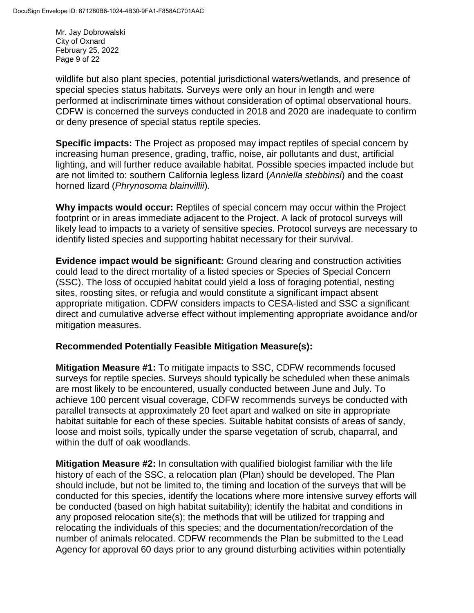Mr. Jay Dobrowalski City of Oxnard February 25, 2022 Page 9 of 22

wildlife but also plant species, potential jurisdictional waters/wetlands, and presence of special species status habitats. Surveys were only an hour in length and were performed at indiscriminate times without consideration of optimal observational hours. CDFW is concerned the surveys conducted in 2018 and 2020 are inadequate to confirm or deny presence of special status reptile species.

**Specific impacts:** The Project as proposed may impact reptiles of special concern by increasing human presence, grading, traffic, noise, air pollutants and dust, artificial lighting, and will further reduce available habitat. Possible species impacted include but are not limited to: southern California legless lizard (*Anniella stebbinsi*) and the coast horned lizard (*Phrynosoma blainvillii*).

**Why impacts would occur:** Reptiles of special concern may occur within the Project footprint or in areas immediate adjacent to the Project. A lack of protocol surveys will likely lead to impacts to a variety of sensitive species. Protocol surveys are necessary to identify listed species and supporting habitat necessary for their survival.

**Evidence impact would be significant:** Ground clearing and construction activities could lead to the direct mortality of a listed species or Species of Special Concern (SSC). The loss of occupied habitat could yield a loss of foraging potential, nesting sites, roosting sites, or refugia and would constitute a significant impact absent appropriate mitigation. CDFW considers impacts to CESA-listed and SSC a significant direct and cumulative adverse effect without implementing appropriate avoidance and/or mitigation measures.

### **Recommended Potentially Feasible Mitigation Measure(s):**

**Mitigation Measure #1:** To mitigate impacts to SSC, CDFW recommends focused surveys for reptile species. Surveys should typically be scheduled when these animals are most likely to be encountered, usually conducted between June and July. To achieve 100 percent visual coverage, CDFW recommends surveys be conducted with parallel transects at approximately 20 feet apart and walked on site in appropriate habitat suitable for each of these species. Suitable habitat consists of areas of sandy, loose and moist soils, typically under the sparse vegetation of scrub, chaparral, and within the duff of oak woodlands.

**Mitigation Measure #2:** In consultation with qualified biologist familiar with the life history of each of the SSC, a relocation plan (Plan) should be developed. The Plan should include, but not be limited to, the timing and location of the surveys that will be conducted for this species, identify the locations where more intensive survey efforts will be conducted (based on high habitat suitability); identify the habitat and conditions in any proposed relocation site(s); the methods that will be utilized for trapping and relocating the individuals of this species; and the documentation/recordation of the number of animals relocated. CDFW recommends the Plan be submitted to the Lead Agency for approval 60 days prior to any ground disturbing activities within potentially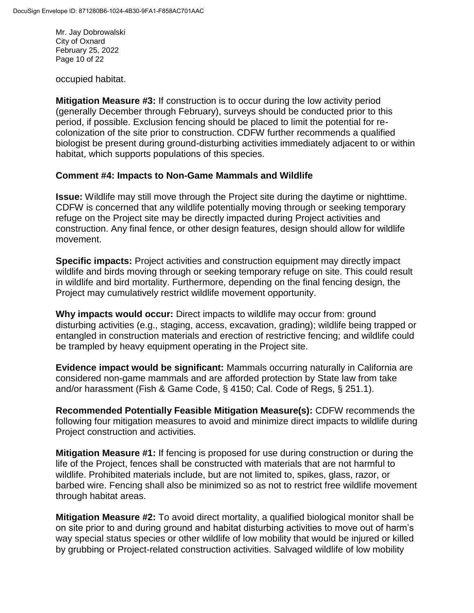Mr. Jay Dobrowalski City of Oxnard February 25, 2022 Page 10 of 22

occupied habitat.

**Mitigation Measure #3:** If construction is to occur during the low activity period (generally December through February), surveys should be conducted prior to this period, if possible. Exclusion fencing should be placed to limit the potential for recolonization of the site prior to construction. CDFW further recommends a qualified biologist be present during ground-disturbing activities immediately adjacent to or within habitat, which supports populations of this species.

#### **Comment #4: Impacts to Non-Game Mammals and Wildlife**

**Issue:** Wildlife may still move through the Project site during the daytime or nighttime. CDFW is concerned that any wildlife potentially moving through or seeking temporary refuge on the Project site may be directly impacted during Project activities and construction. Any final fence, or other design features, design should allow for wildlife movement.

**Specific impacts:** Project activities and construction equipment may directly impact wildlife and birds moving through or seeking temporary refuge on site. This could result in wildlife and bird mortality. Furthermore, depending on the final fencing design, the Project may cumulatively restrict wildlife movement opportunity.

**Why impacts would occur:** Direct impacts to wildlife may occur from: ground disturbing activities (e.g., staging, access, excavation, grading); wildlife being trapped or entangled in construction materials and erection of restrictive fencing; and wildlife could be trampled by heavy equipment operating in the Project site.

**Evidence impact would be significant:** Mammals occurring naturally in California are considered non-game mammals and are afforded protection by State law from take and/or harassment (Fish & Game Code, § 4150; Cal. Code of Regs, § 251.1).

**Recommended Potentially Feasible Mitigation Measure(s):** CDFW recommends the following four mitigation measures to avoid and minimize direct impacts to wildlife during Project construction and activities.

**Mitigation Measure #1:** If fencing is proposed for use during construction or during the life of the Project, fences shall be constructed with materials that are not harmful to wildlife. Prohibited materials include, but are not limited to, spikes, glass, razor, or barbed wire. Fencing shall also be minimized so as not to restrict free wildlife movement through habitat areas.

**Mitigation Measure #2:** To avoid direct mortality, a qualified biological monitor shall be on site prior to and during ground and habitat disturbing activities to move out of harm's way special status species or other wildlife of low mobility that would be injured or killed by grubbing or Project-related construction activities. Salvaged wildlife of low mobility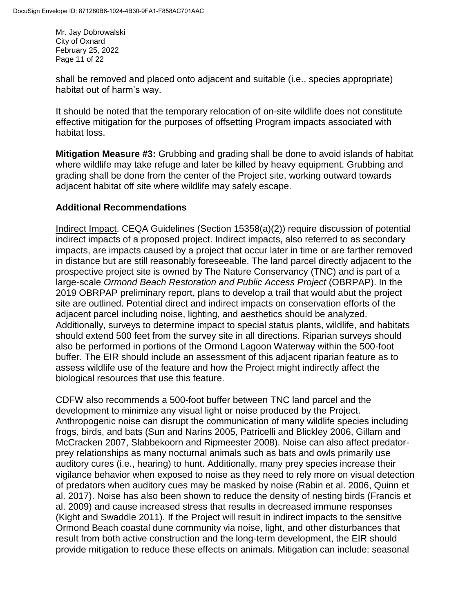Mr. Jay Dobrowalski City of Oxnard February 25, 2022 Page 11 of 22

shall be removed and placed onto adjacent and suitable (i.e., species appropriate) habitat out of harm's way.

It should be noted that the temporary relocation of on-site wildlife does not constitute effective mitigation for the purposes of offsetting Program impacts associated with habitat loss.

**Mitigation Measure #3:** Grubbing and grading shall be done to avoid islands of habitat where wildlife may take refuge and later be killed by heavy equipment. Grubbing and grading shall be done from the center of the Project site, working outward towards adjacent habitat off site where wildlife may safely escape.

## **Additional Recommendations**

Indirect Impact. CEQA Guidelines (Section 15358(a)(2)) require discussion of potential indirect impacts of a proposed project. Indirect impacts, also referred to as secondary impacts, are impacts caused by a project that occur later in time or are farther removed in distance but are still reasonably foreseeable. The land parcel directly adjacent to the prospective project site is owned by The Nature Conservancy (TNC) and is part of a large-scale *Ormond Beach Restoration and Public Access Project* (OBRPAP). In the 2019 OBRPAP preliminary report, plans to develop a trail that would abut the project site are outlined. Potential direct and indirect impacts on conservation efforts of the adjacent parcel including noise, lighting, and aesthetics should be analyzed. Additionally, surveys to determine impact to special status plants, wildlife, and habitats should extend 500 feet from the survey site in all directions. Riparian surveys should also be performed in portions of the Ormond Lagoon Waterway within the 500-foot buffer. The EIR should include an assessment of this adjacent riparian feature as to assess wildlife use of the feature and how the Project might indirectly affect the biological resources that use this feature.

CDFW also recommends a 500-foot buffer between TNC land parcel and the development to minimize any visual light or noise produced by the Project. Anthropogenic noise can disrupt the communication of many wildlife species including frogs, birds, and bats (Sun and Narins 2005, Patricelli and Blickley 2006, Gillam and McCracken 2007, Slabbekoorn and Ripmeester 2008). Noise can also affect predatorprey relationships as many nocturnal animals such as bats and owls primarily use auditory cures (i.e., hearing) to hunt. Additionally, many prey species increase their vigilance behavior when exposed to noise as they need to rely more on visual detection of predators when auditory cues may be masked by noise (Rabin et al. 2006, Quinn et al. 2017). Noise has also been shown to reduce the density of nesting birds (Francis et al. 2009) and cause increased stress that results in decreased immune responses (Kight and Swaddle 2011). If the Project will result in indirect impacts to the sensitive Ormond Beach coastal dune community via noise, light, and other disturbances that result from both active construction and the long-term development, the EIR should provide mitigation to reduce these effects on animals. Mitigation can include: seasonal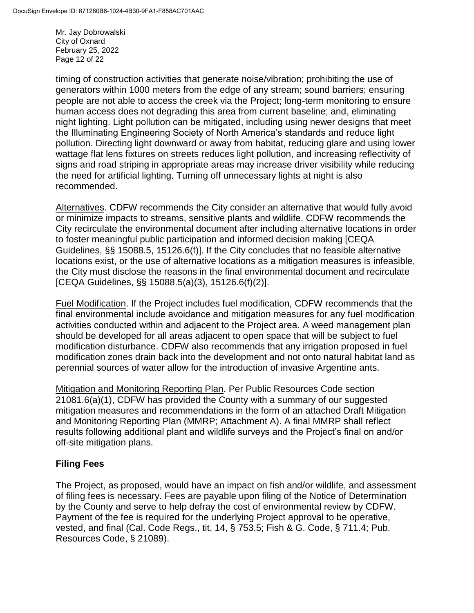Mr. Jay Dobrowalski City of Oxnard February 25, 2022 Page 12 of 22

timing of construction activities that generate noise/vibration; prohibiting the use of generators within 1000 meters from the edge of any stream; sound barriers; ensuring people are not able to access the creek via the Project; long-term monitoring to ensure human access does not degrading this area from current baseline; and, eliminating night lighting. Light pollution can be mitigated, including using newer designs that meet the Illuminating Engineering Society of North America's standards and reduce light pollution. Directing light downward or away from habitat, reducing glare and using lower wattage flat lens fixtures on streets reduces light pollution, and increasing reflectivity of signs and road striping in appropriate areas may increase driver visibility while reducing the need for artificial lighting. Turning off unnecessary lights at night is also recommended.

Alternatives. CDFW recommends the City consider an alternative that would fully avoid or minimize impacts to streams, sensitive plants and wildlife. CDFW recommends the City recirculate the environmental document after including alternative locations in order to foster meaningful public participation and informed decision making [CEQA Guidelines, §§ 15088.5, 15126.6(f)]. If the City concludes that no feasible alternative locations exist, or the use of alternative locations as a mitigation measures is infeasible, the City must disclose the reasons in the final environmental document and recirculate [CEQA Guidelines, §§ 15088.5(a)(3), 15126.6(f)(2)].

Fuel Modification. If the Project includes fuel modification, CDFW recommends that the final environmental include avoidance and mitigation measures for any fuel modification activities conducted within and adjacent to the Project area. A weed management plan should be developed for all areas adjacent to open space that will be subject to fuel modification disturbance. CDFW also recommends that any irrigation proposed in fuel modification zones drain back into the development and not onto natural habitat land as perennial sources of water allow for the introduction of invasive Argentine ants.

Mitigation and Monitoring Reporting Plan. Per Public Resources Code section 21081.6(a)(1), CDFW has provided the County with a summary of our suggested mitigation measures and recommendations in the form of an attached Draft Mitigation and Monitoring Reporting Plan (MMRP; Attachment A). A final MMRP shall reflect results following additional plant and wildlife surveys and the Project's final on and/or off-site mitigation plans.

### **Filing Fees**

The Project, as proposed, would have an impact on fish and/or wildlife, and assessment of filing fees is necessary. Fees are payable upon filing of the Notice of Determination by the County and serve to help defray the cost of environmental review by CDFW. Payment of the fee is required for the underlying Project approval to be operative, vested, and final (Cal. Code Regs., tit. 14, § 753.5; Fish & G. Code, § 711.4; Pub. Resources Code, § 21089).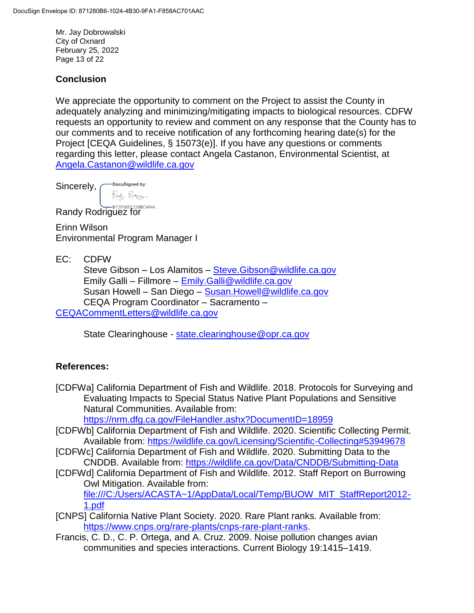Mr. Jay Dobrowalski City of Oxnard February 25, 2022 Page 13 of 22

### **Conclusion**

We appreciate the opportunity to comment on the Project to assist the County in adequately analyzing and minimizing/mitigating impacts to biological resources. CDFW requests an opportunity to review and comment on any response that the County has to our comments and to receive notification of any forthcoming hearing date(s) for the Project [CEQA Guidelines, § 15073(e)]. If you have any questions or comments regarding this letter, please contact Angela Castanon, Environmental Scientist, at [Angela.Castanon@wildlife.ca.gov](mailto:Baron.Barrera@wildlife.ca.gov)

-DocuSigned by: Sincerely, Randy Rodyjuy

**Randy Rodriguez for** 

Erinn Wilson Environmental Program Manager I

EC: CDFW

Steve Gibson – Los Alamitos – [Steve.Gibson@wildlife.ca.gov](mailto:Steve.Gibson@wildlife.ca.gov) Emily Galli – Fillmore – [Emily.Galli@wildlife.ca.gov](mailto:Emily.Galli@wildlife.ca.gov) Susan Howell – San Diego – [Susan.Howell@wildlife.ca.gov](mailto:Susan.Howell@wildlife.ca.gov) CEQA Program Coordinator – Sacramento – [CEQACommentLetters@wildlife.ca.gov](mailto:CEQACommentLetters@wildlife.ca.gov) 

State Clearinghouse - [state.clearinghouse@opr.ca.gov](mailto:state.clearinghouse@opr.ca.gov)

### **References:**

[CDFWa] California Department of Fish and Wildlife. 2018. Protocols for Surveying and Evaluating Impacts to Special Status Native Plant Populations and Sensitive Natural Communities. Available from:

<https://nrm.dfg.ca.gov/FileHandler.ashx?DocumentID=18959>

- [CDFWb] California Department of Fish and Wildlife. 2020. Scientific Collecting Permit. Available from:<https://wildlife.ca.gov/Licensing/Scientific-Collecting#53949678>
- [CDFWc] California Department of Fish and Wildlife. 2020. Submitting Data to the CNDDB. Available from:<https://wildlife.ca.gov/Data/CNDDB/Submitting-Data>
- [CDFWd] California Department of Fish and Wildlife. 2012. Staff Report on Burrowing Owl Mitigation. Available from: [file:///C:/Users/ACASTA~1/AppData/Local/Temp/BUOW\\_MIT\\_StaffReport2012-](file:///C:/Users/ACASTA~1/AppData/Local/Temp/BUOW_MIT_StaffReport2012-1.pdf) [1.pdf](file:///C:/Users/ACASTA~1/AppData/Local/Temp/BUOW_MIT_StaffReport2012-1.pdf)
- [CNPS] California Native Plant Society. 2020. Rare Plant ranks. Available from: [https://www.cnps.org/rare-plants/cnps-rare-plant-ranks.](https://www.cnps.org/rare-plants/cnps-rare-plant-ranks)
- Francis, C. D., C. P. Ortega, and A. Cruz. 2009. Noise pollution changes avian communities and species interactions. Current Biology 19:1415–1419.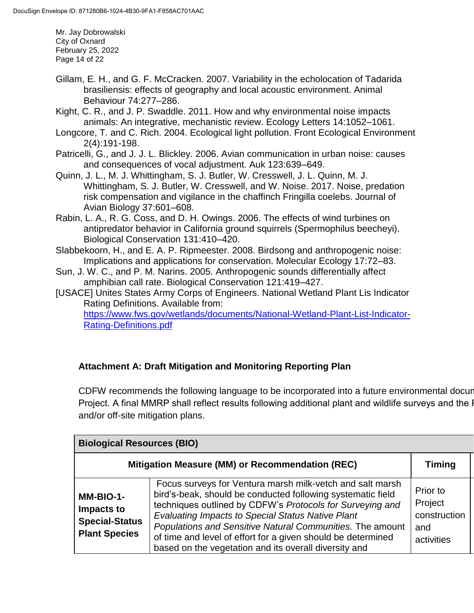Mr. Jay Dobrowalski City of Oxnard February 25, 2022 Page 14 of 22

- Gillam, E. H., and G. F. McCracken. 2007. Variability in the echolocation of Tadarida brasiliensis: effects of geography and local acoustic environment. Animal Behaviour 74:277–286.
- Kight, C. R., and J. P. Swaddle. 2011. How and why environmental noise impacts animals: An integrative, mechanistic review. Ecology Letters 14:1052–1061.
- Longcore, T. and C. Rich. 2004. Ecological light pollution. Front Ecological Environment 2(4):191-198.
- Patricelli, G., and J. J. L. Blickley. 2006. Avian communication in urban noise: causes and consequences of vocal adjustment. Auk 123:639–649.
- Quinn, J. L., M. J. Whittingham, S. J. Butler, W. Cresswell, J. L. Quinn, M. J. Whittingham, S. J. Butler, W. Cresswell, and W. Noise. 2017. Noise, predation risk compensation and vigilance in the chaffinch Fringilla coelebs. Journal of Avian Biology 37:601–608.
- Rabin, L. A., R. G. Coss, and D. H. Owings. 2006. The effects of wind turbines on antipredator behavior in California ground squirrels (Spermophilus beecheyi). Biological Conservation 131:410–420.
- Slabbekoorn, H., and E. A. P. Ripmeester. 2008. Birdsong and anthropogenic noise: Implications and applications for conservation. Molecular Ecology 17:72–83.
- Sun, J. W. C., and P. M. Narins. 2005. Anthropogenic sounds differentially affect amphibian call rate. Biological Conservation 121:419–427.
- [USACE] Unites States Army Corps of Engineers. National Wetland Plant Lis Indicator Rating Definitions. Available from: [https://www.fws.gov/wetlands/documents/National-Wetland-Plant-List-Indicator-](https://www.fws.gov/wetlands/documents/National-Wetland-Plant-List-Indicator-Rating-Definitions.pdf)[Rating-Definitions.pdf](https://www.fws.gov/wetlands/documents/National-Wetland-Plant-List-Indicator-Rating-Definitions.pdf)

# **Attachment A: Draft Mitigation and Monitoring Reporting Plan**

CDFW recommends the following language to be incorporated into a future environmental docur Project. A final MMRP shall reflect results following additional plant and wildlife surveys and the I and/or off-site mitigation plans.

| <b>Biological Resources (BIO)</b>                                        |                                                                                                                                                                                                                                                                                                                                                                                                                                  |                                                          |  |
|--------------------------------------------------------------------------|----------------------------------------------------------------------------------------------------------------------------------------------------------------------------------------------------------------------------------------------------------------------------------------------------------------------------------------------------------------------------------------------------------------------------------|----------------------------------------------------------|--|
|                                                                          | Mitigation Measure (MM) or Recommendation (REC)                                                                                                                                                                                                                                                                                                                                                                                  | <b>Timing</b>                                            |  |
| MM-BIO-1-<br>Impacts to<br><b>Special-Status</b><br><b>Plant Species</b> | Focus surveys for Ventura marsh milk-vetch and salt marsh<br>bird's-beak, should be conducted following systematic field<br>techniques outlined by CDFW's Protocols for Surveying and<br>Evaluating Impacts to Special Status Native Plant<br>Populations and Sensitive Natural Communities. The amount<br>of time and level of effort for a given should be determined<br>based on the vegetation and its overall diversity and | Prior to<br>Project<br>construction<br>and<br>activities |  |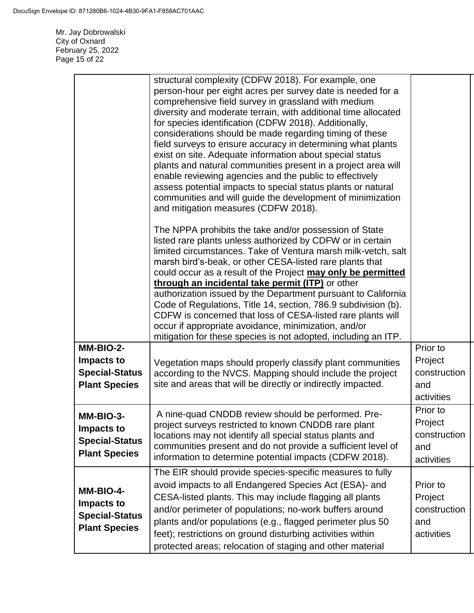Mr. Jay Dobrowalski City of Oxnard February 25, 2022 Page 15 of 22

|                                                                          | structural complexity (CDFW 2018). For example, one<br>person-hour per eight acres per survey date is needed for a<br>comprehensive field survey in grassland with medium<br>diversity and moderate terrain, with additional time allocated<br>for species identification (CDFW 2018). Additionally,<br>considerations should be made regarding timing of these<br>field surveys to ensure accuracy in determining what plants<br>exist on site. Adequate information about special status<br>plants and natural communities present in a project area will<br>enable reviewing agencies and the public to effectively<br>assess potential impacts to special status plants or natural<br>communities and will guide the development of minimization<br>and mitigation measures (CDFW 2018). |                                                          |
|--------------------------------------------------------------------------|----------------------------------------------------------------------------------------------------------------------------------------------------------------------------------------------------------------------------------------------------------------------------------------------------------------------------------------------------------------------------------------------------------------------------------------------------------------------------------------------------------------------------------------------------------------------------------------------------------------------------------------------------------------------------------------------------------------------------------------------------------------------------------------------|----------------------------------------------------------|
|                                                                          | The NPPA prohibits the take and/or possession of State<br>listed rare plants unless authorized by CDFW or in certain<br>limited circumstances. Take of Ventura marsh milk-vetch, salt<br>marsh bird's-beak, or other CESA-listed rare plants that<br>could occur as a result of the Project may only be permitted<br>through an incidental take permit (ITP) or other<br>authorization issued by the Department pursuant to California<br>Code of Regulations, Title 14, section, 786.9 subdivision (b).<br>CDFW is concerned that loss of CESA-listed rare plants will<br>occur if appropriate avoidance, minimization, and/or<br>mitigation for these species is not adopted, including an ITP.                                                                                            |                                                          |
| MM-BIO-2-<br>Impacts to<br><b>Special-Status</b><br><b>Plant Species</b> | Vegetation maps should properly classify plant communities<br>according to the NVCS. Mapping should include the project<br>site and areas that will be directly or indirectly impacted.                                                                                                                                                                                                                                                                                                                                                                                                                                                                                                                                                                                                      | Prior to<br>Project<br>construction<br>and<br>activities |
| MM-BIO-3-<br>Impacts to<br><b>Special-Status</b><br><b>Plant Species</b> | A nine-quad CNDDB review should be performed. Pre-<br>project surveys restricted to known CNDDB rare plant<br>locations may not identify all special status plants and<br>communities present and do not provide a sufficient level of<br>information to determine potential impacts (CDFW 2018).                                                                                                                                                                                                                                                                                                                                                                                                                                                                                            | Prior to<br>Project<br>construction<br>and<br>activities |
| MM-BIO-4-<br>Impacts to<br><b>Special-Status</b><br><b>Plant Species</b> | The EIR should provide species-specific measures to fully<br>avoid impacts to all Endangered Species Act (ESA)- and<br>CESA-listed plants. This may include flagging all plants<br>and/or perimeter of populations; no-work buffers around<br>plants and/or populations (e.g., flagged perimeter plus 50<br>feet); restrictions on ground disturbing activities within<br>protected areas; relocation of staging and other material                                                                                                                                                                                                                                                                                                                                                          | Prior to<br>Project<br>construction<br>and<br>activities |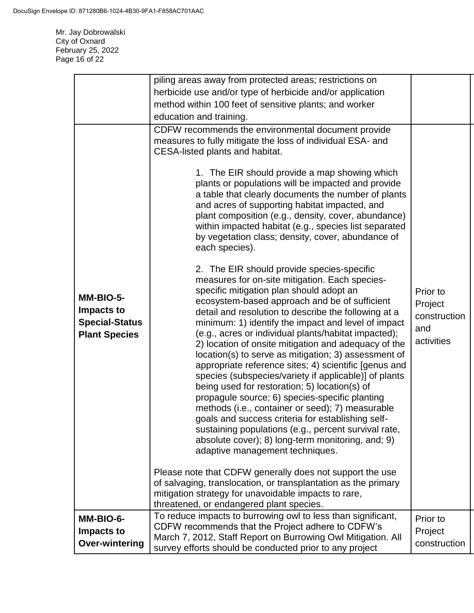Mr. Jay Dobrowalski City of Oxnard February 25, 2022 Page 16 of 22

|                                                                          | piling areas away from protected areas; restrictions on                                                                                                                                                                                                                                                                                                                                                                                                                                                                                                                                                                                                                                                                                                                                                                                                                                                                                                                                                                                                                                                                                                                                                                                                                                                                |                                                          |
|--------------------------------------------------------------------------|------------------------------------------------------------------------------------------------------------------------------------------------------------------------------------------------------------------------------------------------------------------------------------------------------------------------------------------------------------------------------------------------------------------------------------------------------------------------------------------------------------------------------------------------------------------------------------------------------------------------------------------------------------------------------------------------------------------------------------------------------------------------------------------------------------------------------------------------------------------------------------------------------------------------------------------------------------------------------------------------------------------------------------------------------------------------------------------------------------------------------------------------------------------------------------------------------------------------------------------------------------------------------------------------------------------------|----------------------------------------------------------|
|                                                                          | herbicide use and/or type of herbicide and/or application                                                                                                                                                                                                                                                                                                                                                                                                                                                                                                                                                                                                                                                                                                                                                                                                                                                                                                                                                                                                                                                                                                                                                                                                                                                              |                                                          |
|                                                                          | method within 100 feet of sensitive plants; and worker                                                                                                                                                                                                                                                                                                                                                                                                                                                                                                                                                                                                                                                                                                                                                                                                                                                                                                                                                                                                                                                                                                                                                                                                                                                                 |                                                          |
|                                                                          | education and training.                                                                                                                                                                                                                                                                                                                                                                                                                                                                                                                                                                                                                                                                                                                                                                                                                                                                                                                                                                                                                                                                                                                                                                                                                                                                                                |                                                          |
| MM-BIO-5-<br>Impacts to<br><b>Special-Status</b><br><b>Plant Species</b> | CDFW recommends the environmental document provide<br>measures to fully mitigate the loss of individual ESA- and<br>CESA-listed plants and habitat.<br>1. The EIR should provide a map showing which<br>plants or populations will be impacted and provide<br>a table that clearly documents the number of plants<br>and acres of supporting habitat impacted, and<br>plant composition (e.g., density, cover, abundance)<br>within impacted habitat (e.g., species list separated<br>by vegetation class; density, cover, abundance of<br>each species).<br>2. The EIR should provide species-specific<br>measures for on-site mitigation. Each species-<br>specific mitigation plan should adopt an<br>ecosystem-based approach and be of sufficient<br>detail and resolution to describe the following at a<br>minimum: 1) identify the impact and level of impact<br>(e.g., acres or individual plants/habitat impacted);<br>2) location of onsite mitigation and adequacy of the<br>location(s) to serve as mitigation; 3) assessment of<br>appropriate reference sites; 4) scientific [genus and<br>species (subspecies/variety if applicable)] of plants<br>being used for restoration; 5) location(s) of<br>propagule source; 6) species-specific planting<br>methods (i.e., container or seed); 7) measurable | Prior to<br>Project<br>construction<br>and<br>activities |
|                                                                          | goals and success criteria for establishing self-<br>sustaining populations (e.g., percent survival rate,<br>absolute cover); 8) long-term monitoring, and; 9)<br>adaptive management techniques.                                                                                                                                                                                                                                                                                                                                                                                                                                                                                                                                                                                                                                                                                                                                                                                                                                                                                                                                                                                                                                                                                                                      |                                                          |
|                                                                          | Please note that CDFW generally does not support the use<br>of salvaging, translocation, or transplantation as the primary<br>mitigation strategy for unavoidable impacts to rare,<br>threatened, or endangered plant species.                                                                                                                                                                                                                                                                                                                                                                                                                                                                                                                                                                                                                                                                                                                                                                                                                                                                                                                                                                                                                                                                                         |                                                          |
| MM-BIO-6-<br>Impacts to<br><b>Over-wintering</b>                         | To reduce impacts to burrowing owl to less than significant,<br>CDFW recommends that the Project adhere to CDFW's<br>March 7, 2012, Staff Report on Burrowing Owl Mitigation. All<br>survey efforts should be conducted prior to any project                                                                                                                                                                                                                                                                                                                                                                                                                                                                                                                                                                                                                                                                                                                                                                                                                                                                                                                                                                                                                                                                           | Prior to<br>Project<br>construction                      |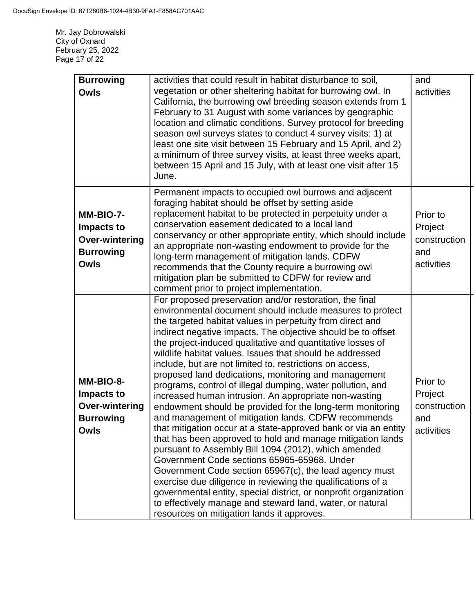Mr. Jay Dobrowalski City of Oxnard February 25, 2022 Page 17 of 22

| <b>Burrowing</b><br><b>Owls</b>                                                     | activities that could result in habitat disturbance to soil,<br>vegetation or other sheltering habitat for burrowing owl. In<br>California, the burrowing owl breeding season extends from 1<br>February to 31 August with some variances by geographic<br>location and climatic conditions. Survey protocol for breeding<br>season owl surveys states to conduct 4 survey visits: 1) at<br>least one site visit between 15 February and 15 April, and 2)<br>a minimum of three survey visits, at least three weeks apart,<br>between 15 April and 15 July, with at least one visit after 15<br>June.                                                                                                                                                                                                                                                                                                                                                                                                                                                                                                                                                                                                                                                                                      | and<br>activities                                        |
|-------------------------------------------------------------------------------------|--------------------------------------------------------------------------------------------------------------------------------------------------------------------------------------------------------------------------------------------------------------------------------------------------------------------------------------------------------------------------------------------------------------------------------------------------------------------------------------------------------------------------------------------------------------------------------------------------------------------------------------------------------------------------------------------------------------------------------------------------------------------------------------------------------------------------------------------------------------------------------------------------------------------------------------------------------------------------------------------------------------------------------------------------------------------------------------------------------------------------------------------------------------------------------------------------------------------------------------------------------------------------------------------|----------------------------------------------------------|
| MM-BIO-7-<br>Impacts to<br><b>Over-wintering</b><br><b>Burrowing</b><br><b>Owls</b> | Permanent impacts to occupied owl burrows and adjacent<br>foraging habitat should be offset by setting aside<br>replacement habitat to be protected in perpetuity under a<br>conservation easement dedicated to a local land<br>conservancy or other appropriate entity, which should include<br>an appropriate non-wasting endowment to provide for the<br>long-term management of mitigation lands. CDFW<br>recommends that the County require a burrowing owl<br>mitigation plan be submitted to CDFW for review and<br>comment prior to project implementation.                                                                                                                                                                                                                                                                                                                                                                                                                                                                                                                                                                                                                                                                                                                        | Prior to<br>Project<br>construction<br>and<br>activities |
| MM-BIO-8-<br>Impacts to<br><b>Over-wintering</b><br><b>Burrowing</b><br><b>Owls</b> | For proposed preservation and/or restoration, the final<br>environmental document should include measures to protect<br>the targeted habitat values in perpetuity from direct and<br>indirect negative impacts. The objective should be to offset<br>the project-induced qualitative and quantitative losses of<br>wildlife habitat values. Issues that should be addressed<br>include, but are not limited to, restrictions on access,<br>proposed land dedications, monitoring and management<br>programs, control of illegal dumping, water pollution, and<br>increased human intrusion. An appropriate non-wasting<br>endowment should be provided for the long-term monitoring<br>and management of mitigation lands. CDFW recommends<br>that mitigation occur at a state-approved bank or via an entity<br>that has been approved to hold and manage mitigation lands<br>pursuant to Assembly Bill 1094 (2012), which amended<br>Government Code sections 65965-65968. Under<br>Government Code section 65967(c), the lead agency must<br>exercise due diligence in reviewing the qualifications of a<br>governmental entity, special district, or nonprofit organization<br>to effectively manage and steward land, water, or natural<br>resources on mitigation lands it approves. | Prior to<br>Project<br>construction<br>and<br>activities |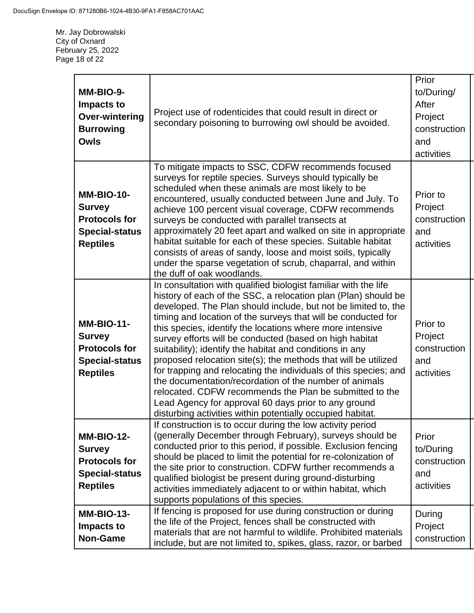Mr. Jay Dobrowalski City of Oxnard February 25, 2022 Page 18 of 22

| MM-BIO-9-<br>Impacts to<br><b>Over-wintering</b><br><b>Burrowing</b><br><b>Owls</b>                    | Project use of rodenticides that could result in direct or<br>secondary poisoning to burrowing owl should be avoided.                                                                                                                                                                                                                                                                                                                                                                                                                                                                                                                                                                                                                                                                                                                     | Prior<br>to/During/<br>After<br>Project<br>construction<br>and<br>activities |
|--------------------------------------------------------------------------------------------------------|-------------------------------------------------------------------------------------------------------------------------------------------------------------------------------------------------------------------------------------------------------------------------------------------------------------------------------------------------------------------------------------------------------------------------------------------------------------------------------------------------------------------------------------------------------------------------------------------------------------------------------------------------------------------------------------------------------------------------------------------------------------------------------------------------------------------------------------------|------------------------------------------------------------------------------|
| <b>MM-BIO-10-</b><br><b>Survey</b><br><b>Protocols for</b><br><b>Special-status</b><br><b>Reptiles</b> | To mitigate impacts to SSC, CDFW recommends focused<br>surveys for reptile species. Surveys should typically be<br>scheduled when these animals are most likely to be<br>encountered, usually conducted between June and July. To<br>achieve 100 percent visual coverage, CDFW recommends<br>surveys be conducted with parallel transects at<br>approximately 20 feet apart and walked on site in appropriate<br>habitat suitable for each of these species. Suitable habitat<br>consists of areas of sandy, loose and moist soils, typically<br>under the sparse vegetation of scrub, chaparral, and within<br>the duff of oak woodlands.                                                                                                                                                                                                | Prior to<br>Project<br>construction<br>and<br>activities                     |
| <b>MM-BIO-11-</b><br><b>Survey</b><br><b>Protocols for</b><br><b>Special-status</b><br><b>Reptiles</b> | In consultation with qualified biologist familiar with the life<br>history of each of the SSC, a relocation plan (Plan) should be<br>developed. The Plan should include, but not be limited to, the<br>timing and location of the surveys that will be conducted for<br>this species, identify the locations where more intensive<br>survey efforts will be conducted (based on high habitat<br>suitability); identify the habitat and conditions in any<br>proposed relocation site(s); the methods that will be utilized<br>for trapping and relocating the individuals of this species; and<br>the documentation/recordation of the number of animals<br>relocated. CDFW recommends the Plan be submitted to the<br>Lead Agency for approval 60 days prior to any ground<br>disturbing activities within potentially occupied habitat. | Prior to<br>Project<br>construction<br>and<br>activities                     |
| <b>MM-BIO-12-</b><br><b>Survey</b><br><b>Protocols for</b><br><b>Special-status</b><br><b>Reptiles</b> | If construction is to occur during the low activity period<br>(generally December through February), surveys should be<br>conducted prior to this period, if possible. Exclusion fencing<br>should be placed to limit the potential for re-colonization of<br>the site prior to construction. CDFW further recommends a<br>qualified biologist be present during ground-disturbing<br>activities immediately adjacent to or within habitat, which<br>supports populations of this species.                                                                                                                                                                                                                                                                                                                                                | Prior<br>to/During<br>construction<br>and<br>activities                      |
| <b>MM-BIO-13-</b><br>Impacts to<br><b>Non-Game</b>                                                     | If fencing is proposed for use during construction or during<br>the life of the Project, fences shall be constructed with<br>materials that are not harmful to wildlife. Prohibited materials<br>include, but are not limited to, spikes, glass, razor, or barbed                                                                                                                                                                                                                                                                                                                                                                                                                                                                                                                                                                         | During<br>Project<br>construction                                            |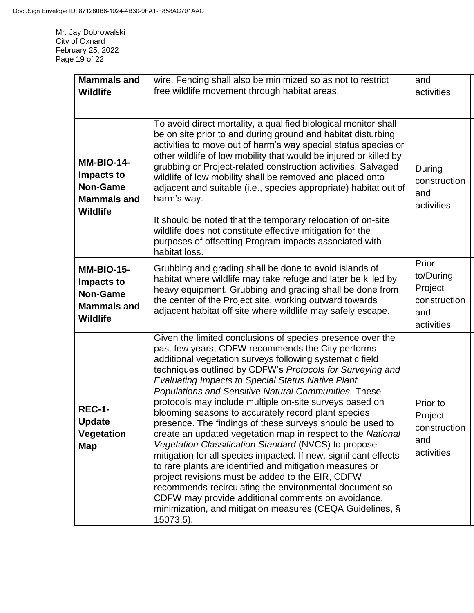Mr. Jay Dobrowalski City of Oxnard February 25, 2022 Page 19 of 22

| <b>Mammals and</b><br><b>Wildlife</b>                                                       | wire. Fencing shall also be minimized so as not to restrict<br>free wildlife movement through habitat areas.                                                                                                                                                                                                                                                                                                                                                                                                                                                                                                                                                                                                                                                                                                                                                                                                                                                                                                                                        | and<br>activities                                                  |
|---------------------------------------------------------------------------------------------|-----------------------------------------------------------------------------------------------------------------------------------------------------------------------------------------------------------------------------------------------------------------------------------------------------------------------------------------------------------------------------------------------------------------------------------------------------------------------------------------------------------------------------------------------------------------------------------------------------------------------------------------------------------------------------------------------------------------------------------------------------------------------------------------------------------------------------------------------------------------------------------------------------------------------------------------------------------------------------------------------------------------------------------------------------|--------------------------------------------------------------------|
| <b>MM-BIO-14-</b><br>Impacts to<br><b>Non-Game</b><br><b>Mammals and</b><br><b>Wildlife</b> | To avoid direct mortality, a qualified biological monitor shall<br>be on site prior to and during ground and habitat disturbing<br>activities to move out of harm's way special status species or<br>other wildlife of low mobility that would be injured or killed by<br>grubbing or Project-related construction activities. Salvaged<br>wildlife of low mobility shall be removed and placed onto<br>adjacent and suitable (i.e., species appropriate) habitat out of<br>harm's way.<br>It should be noted that the temporary relocation of on-site<br>wildlife does not constitute effective mitigation for the<br>purposes of offsetting Program impacts associated with<br>habitat loss.                                                                                                                                                                                                                                                                                                                                                      | During<br>construction<br>and<br>activities                        |
| <b>MM-BIO-15-</b><br>Impacts to<br><b>Non-Game</b><br><b>Mammals and</b><br><b>Wildlife</b> | Grubbing and grading shall be done to avoid islands of<br>habitat where wildlife may take refuge and later be killed by<br>heavy equipment. Grubbing and grading shall be done from<br>the center of the Project site, working outward towards<br>adjacent habitat off site where wildlife may safely escape.                                                                                                                                                                                                                                                                                                                                                                                                                                                                                                                                                                                                                                                                                                                                       | Prior<br>to/During<br>Project<br>construction<br>and<br>activities |
| <b>REC-1-</b><br><b>Update</b><br>Vegetation<br><b>Map</b>                                  | Given the limited conclusions of species presence over the<br>past few years, CDFW recommends the City performs<br>additional vegetation surveys following systematic field<br>techniques outlined by CDFW's Protocols for Surveying and<br><b>Evaluating Impacts to Special Status Native Plant</b><br>Populations and Sensitive Natural Communities. These<br>protocols may include multiple on-site surveys based on<br>blooming seasons to accurately record plant species<br>presence. The findings of these surveys should be used to<br>create an updated vegetation map in respect to the National<br>Vegetation Classification Standard (NVCS) to propose<br>mitigation for all species impacted. If new, significant effects<br>to rare plants are identified and mitigation measures or<br>project revisions must be added to the EIR, CDFW<br>recommends recirculating the environmental document so<br>CDFW may provide additional comments on avoidance,<br>minimization, and mitigation measures (CEQA Guidelines, §<br>$15073.5$ ). | Prior to<br>Project<br>construction<br>and<br>activities           |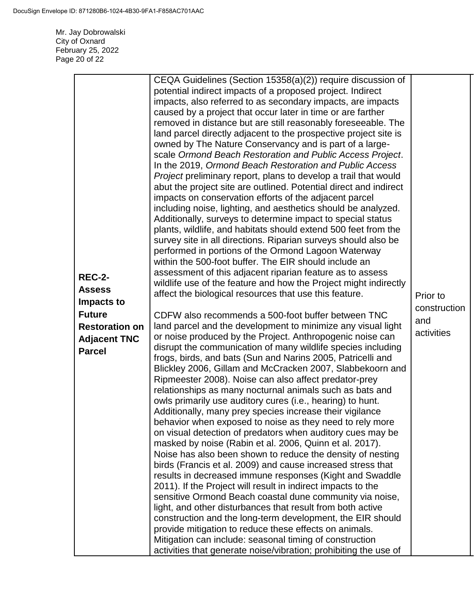Mr. Jay Dobrowalski City of Oxnard February 25, 2022 Page 20 of 22

|                                        | CEQA Guidelines (Section 15358(a)(2)) require discussion of<br>potential indirect impacts of a proposed project. Indirect<br>impacts, also referred to as secondary impacts, are impacts<br>caused by a project that occur later in time or are farther<br>removed in distance but are still reasonably foreseeable. The<br>land parcel directly adjacent to the prospective project site is<br>owned by The Nature Conservancy and is part of a large-<br>scale Ormond Beach Restoration and Public Access Project.<br>In the 2019, Ormond Beach Restoration and Public Access<br><i>Project</i> preliminary report, plans to develop a trail that would |              |
|----------------------------------------|-----------------------------------------------------------------------------------------------------------------------------------------------------------------------------------------------------------------------------------------------------------------------------------------------------------------------------------------------------------------------------------------------------------------------------------------------------------------------------------------------------------------------------------------------------------------------------------------------------------------------------------------------------------|--------------|
|                                        | impacts on conservation efforts of the adjacent parcel<br>including noise, lighting, and aesthetics should be analyzed.                                                                                                                                                                                                                                                                                                                                                                                                                                                                                                                                   |              |
|                                        | Additionally, surveys to determine impact to special status<br>plants, wildlife, and habitats should extend 500 feet from the                                                                                                                                                                                                                                                                                                                                                                                                                                                                                                                             |              |
|                                        | survey site in all directions. Riparian surveys should also be<br>performed in portions of the Ormond Lagoon Waterway                                                                                                                                                                                                                                                                                                                                                                                                                                                                                                                                     |              |
|                                        | within the 500-foot buffer. The EIR should include an                                                                                                                                                                                                                                                                                                                                                                                                                                                                                                                                                                                                     |              |
| <b>REC-2-</b>                          | assessment of this adjacent riparian feature as to assess<br>wildlife use of the feature and how the Project might indirectly                                                                                                                                                                                                                                                                                                                                                                                                                                                                                                                             |              |
| <b>Assess</b>                          | affect the biological resources that use this feature.                                                                                                                                                                                                                                                                                                                                                                                                                                                                                                                                                                                                    | Prior to     |
| Impacts to                             |                                                                                                                                                                                                                                                                                                                                                                                                                                                                                                                                                                                                                                                           | construction |
| <b>Future</b><br><b>Restoration on</b> | CDFW also recommends a 500-foot buffer between TNC<br>land parcel and the development to minimize any visual light                                                                                                                                                                                                                                                                                                                                                                                                                                                                                                                                        | and          |
| <b>Adjacent TNC</b>                    | or noise produced by the Project. Anthropogenic noise can                                                                                                                                                                                                                                                                                                                                                                                                                                                                                                                                                                                                 | activities   |
| <b>Parcel</b>                          | disrupt the communication of many wildlife species including                                                                                                                                                                                                                                                                                                                                                                                                                                                                                                                                                                                              |              |
|                                        | frogs, birds, and bats (Sun and Narins 2005, Patricelli and<br>Blickley 2006, Gillam and McCracken 2007, Slabbekoorn and                                                                                                                                                                                                                                                                                                                                                                                                                                                                                                                                  |              |
|                                        | Ripmeester 2008). Noise can also affect predator-prey                                                                                                                                                                                                                                                                                                                                                                                                                                                                                                                                                                                                     |              |
|                                        | relationships as many nocturnal animals such as bats and                                                                                                                                                                                                                                                                                                                                                                                                                                                                                                                                                                                                  |              |
|                                        | owls primarily use auditory cures (i.e., hearing) to hunt.                                                                                                                                                                                                                                                                                                                                                                                                                                                                                                                                                                                                |              |
|                                        | Additionally, many prey species increase their vigilance<br>behavior when exposed to noise as they need to rely more                                                                                                                                                                                                                                                                                                                                                                                                                                                                                                                                      |              |
|                                        | on visual detection of predators when auditory cues may be                                                                                                                                                                                                                                                                                                                                                                                                                                                                                                                                                                                                |              |
|                                        | masked by noise (Rabin et al. 2006, Quinn et al. 2017).                                                                                                                                                                                                                                                                                                                                                                                                                                                                                                                                                                                                   |              |
|                                        | Noise has also been shown to reduce the density of nesting                                                                                                                                                                                                                                                                                                                                                                                                                                                                                                                                                                                                |              |
|                                        | birds (Francis et al. 2009) and cause increased stress that<br>results in decreased immune responses (Kight and Swaddle                                                                                                                                                                                                                                                                                                                                                                                                                                                                                                                                   |              |
|                                        | 2011). If the Project will result in indirect impacts to the                                                                                                                                                                                                                                                                                                                                                                                                                                                                                                                                                                                              |              |
|                                        | sensitive Ormond Beach coastal dune community via noise,                                                                                                                                                                                                                                                                                                                                                                                                                                                                                                                                                                                                  |              |
|                                        | light, and other disturbances that result from both active                                                                                                                                                                                                                                                                                                                                                                                                                                                                                                                                                                                                |              |
|                                        | construction and the long-term development, the EIR should<br>provide mitigation to reduce these effects on animals.                                                                                                                                                                                                                                                                                                                                                                                                                                                                                                                                      |              |
|                                        | Mitigation can include: seasonal timing of construction                                                                                                                                                                                                                                                                                                                                                                                                                                                                                                                                                                                                   |              |
|                                        | activities that generate noise/vibration; prohibiting the use of                                                                                                                                                                                                                                                                                                                                                                                                                                                                                                                                                                                          |              |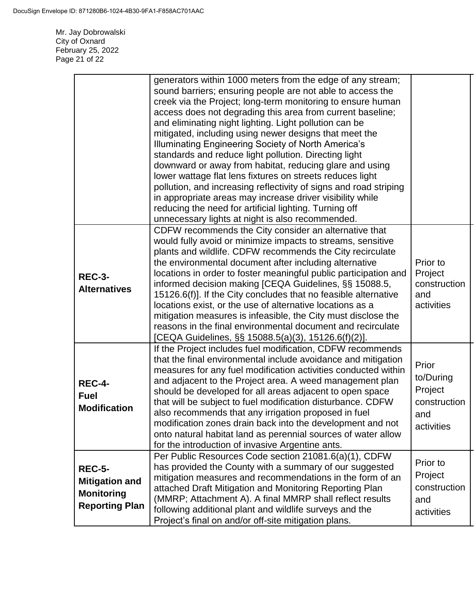Mr. Jay Dobrowalski City of Oxnard February 25, 2022 Page 21 of 22

|                                                                                      | generators within 1000 meters from the edge of any stream;<br>sound barriers; ensuring people are not able to access the<br>creek via the Project; long-term monitoring to ensure human<br>access does not degrading this area from current baseline;<br>and eliminating night lighting. Light pollution can be<br>mitigated, including using newer designs that meet the<br>Illuminating Engineering Society of North America's<br>standards and reduce light pollution. Directing light<br>downward or away from habitat, reducing glare and using<br>lower wattage flat lens fixtures on streets reduces light<br>pollution, and increasing reflectivity of signs and road striping<br>in appropriate areas may increase driver visibility while<br>reducing the need for artificial lighting. Turning off<br>unnecessary lights at night is also recommended. |                                                                    |
|--------------------------------------------------------------------------------------|-------------------------------------------------------------------------------------------------------------------------------------------------------------------------------------------------------------------------------------------------------------------------------------------------------------------------------------------------------------------------------------------------------------------------------------------------------------------------------------------------------------------------------------------------------------------------------------------------------------------------------------------------------------------------------------------------------------------------------------------------------------------------------------------------------------------------------------------------------------------|--------------------------------------------------------------------|
| <b>REC-3-</b><br><b>Alternatives</b>                                                 | CDFW recommends the City consider an alternative that<br>would fully avoid or minimize impacts to streams, sensitive<br>plants and wildlife. CDFW recommends the City recirculate<br>the environmental document after including alternative<br>locations in order to foster meaningful public participation and<br>informed decision making [CEQA Guidelines, §§ 15088.5,<br>15126.6(f)]. If the City concludes that no feasible alternative<br>locations exist, or the use of alternative locations as a<br>mitigation measures is infeasible, the City must disclose the<br>reasons in the final environmental document and recirculate<br>[CEQA Guidelines, §§ 15088.5(a)(3), 15126.6(f)(2)].                                                                                                                                                                  | Prior to<br>Project<br>construction<br>and<br>activities           |
| <b>REC-4-</b><br><b>Fuel</b><br><b>Modification</b>                                  | If the Project includes fuel modification, CDFW recommends<br>that the final environmental include avoidance and mitigation<br>measures for any fuel modification activities conducted within<br>and adjacent to the Project area. A weed management plan<br>should be developed for all areas adjacent to open space<br>that will be subject to fuel modification disturbance. CDFW<br>also recommends that any irrigation proposed in fuel<br>modification zones drain back into the development and not<br>onto natural habitat land as perennial sources of water allow<br>for the introduction of invasive Argentine ants.                                                                                                                                                                                                                                   | Prior<br>to/During<br>Project<br>construction<br>and<br>activities |
| <b>REC-5-</b><br><b>Mitigation and</b><br><b>Monitoring</b><br><b>Reporting Plan</b> | Per Public Resources Code section 21081.6(a)(1), CDFW<br>has provided the County with a summary of our suggested<br>mitigation measures and recommendations in the form of an<br>attached Draft Mitigation and Monitoring Reporting Plan<br>(MMRP; Attachment A). A final MMRP shall reflect results<br>following additional plant and wildlife surveys and the<br>Project's final on and/or off-site mitigation plans.                                                                                                                                                                                                                                                                                                                                                                                                                                           | Prior to<br>Project<br>construction<br>and<br>activities           |